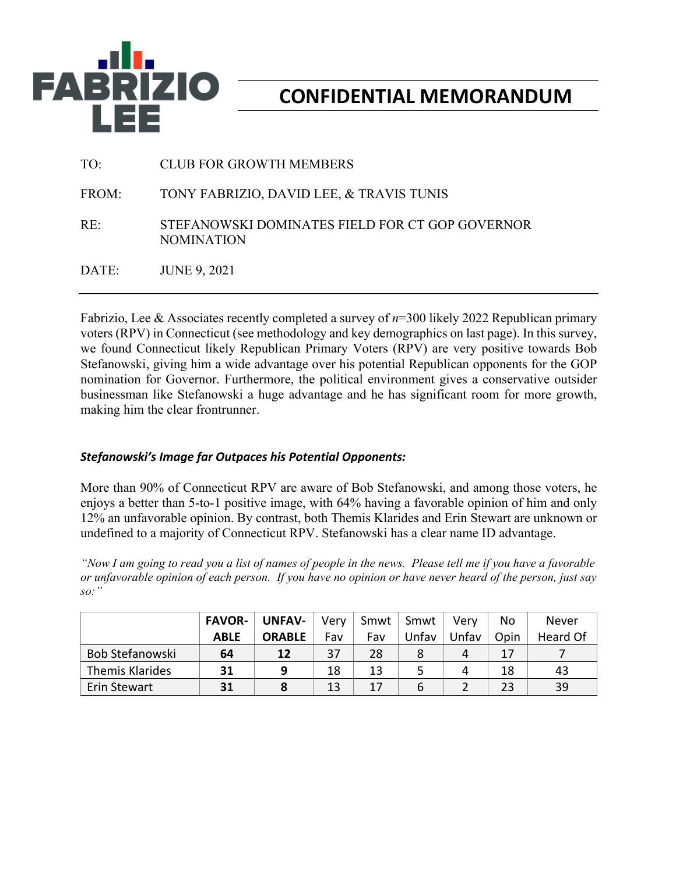

# **CONFIDENTIAL MEMORANDUM**

| TO:   | <b>CLUB FOR GROWTH MEMBERS</b>                                       |
|-------|----------------------------------------------------------------------|
| FROM: | TONY FABRIZIO, DAVID LEE, & TRAVIS TUNIS                             |
| RE:   | STEFANOWSKI DOMINATES FIELD FOR CT GOP GOVERNOR<br><b>NOMINATION</b> |
| DATE: | <b>JUNE 9, 2021</b>                                                  |

Fabrizio, Lee & Associates recently completed a survey of *n*=300 likely 2022 Republican primary voters (RPV) in Connecticut (see methodology and key demographics on last page). In this survey, we found Connecticut likely Republican Primary Voters (RPV) are very positive towards Bob Stefanowski, giving him a wide advantage over his potential Republican opponents for the GOP nomination for Governor. Furthermore, the political environment gives a conservative outsider businessman like Stefanowski a huge advantage and he has significant room for more growth, making him the clear frontrunner.

### *Stefanowski's Image far Outpaces his Potential Opponents:*

More than 90% of Connecticut RPV are aware of Bob Stefanowski, and among those voters, he enjoys a better than 5-to-1 positive image, with 64% having a favorable opinion of him and only 12% an unfavorable opinion. By contrast, both Themis Klarides and Erin Stewart are unknown or undefined to a majority of Connecticut RPV. Stefanowski has a clear name ID advantage.

*"Now I am going to read you a list of names of people in the news. Please tell me if you have a favorable or unfavorable opinion of each person. If you have no opinion or have never heard of the person, just say so:"*

|                        | <b>FAVOR-</b> | <b>UNFAV-</b> | Very | Smwt | Smwt  | Verv  | No   | Never    |
|------------------------|---------------|---------------|------|------|-------|-------|------|----------|
|                        | <b>ABLE</b>   | <b>ORABLE</b> | Fav  | Fav  | Jnfav | Unfav | Opin | Heard Of |
| Bob Stefanowski        | 64            | 12            | 37   | 28   |       | 4     | 17   |          |
| <b>Themis Klarides</b> | 31            | q             | 18   | 13   |       | 4     | 18   | 43       |
| Erin Stewart           | 31            |               | 13   |      |       |       | 23   | 39       |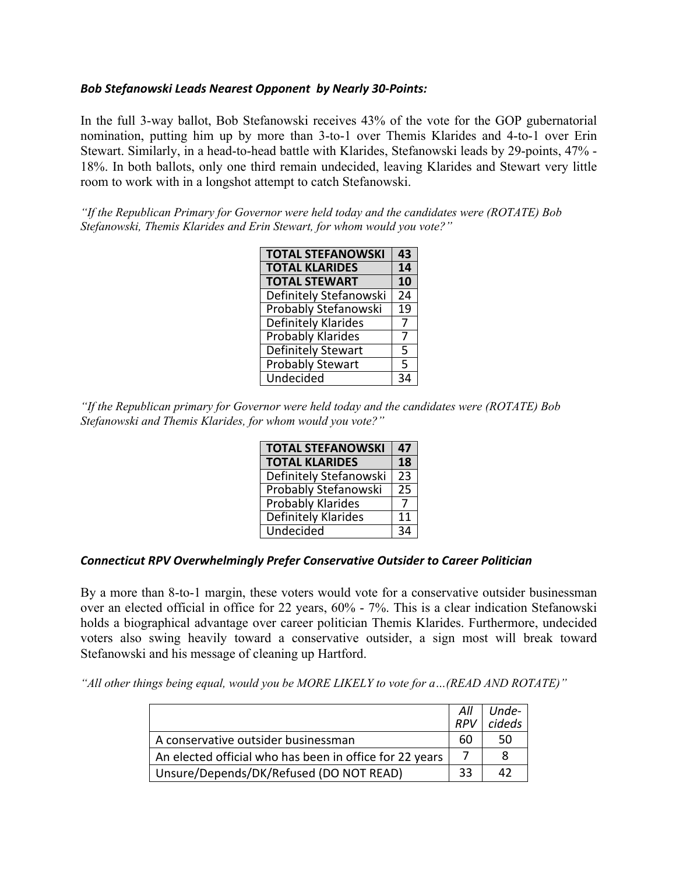#### *Bob Stefanowski Leads Nearest Opponent by Nearly 30-Points:*

In the full 3-way ballot, Bob Stefanowski receives 43% of the vote for the GOP gubernatorial nomination, putting him up by more than 3-to-1 over Themis Klarides and 4-to-1 over Erin Stewart. Similarly, in a head-to-head battle with Klarides, Stefanowski leads by 29-points, 47% - 18%. In both ballots, only one third remain undecided, leaving Klarides and Stewart very little room to work with in a longshot attempt to catch Stefanowski.

*"If the Republican Primary for Governor were held today and the candidates were (ROTATE) Bob Stefanowski, Themis Klarides and Erin Stewart, for whom would you vote?"*

| <b>TOTAL STEFANOWSKI</b>    | 43              |
|-----------------------------|-----------------|
| <b>TOTAL KLARIDES</b>       | 14              |
| <b>TOTAL STEWART</b>        | 10              |
| Definitely Stefanowski      | $\overline{24}$ |
| <b>Probably Stefanowski</b> | $\overline{19}$ |
| Definitely Klarides         | 7               |
| Probably Klarides           | 7               |
| <b>Definitely Stewart</b>   | 5               |
| <b>Probably Stewart</b>     | 5               |
| Undecided                   | 34              |

*"If the Republican primary for Governor were held today and the candidates were (ROTATE) Bob Stefanowski and Themis Klarides, for whom would you vote?"*

| <b>TOTAL STEFANOWSKI</b> | 47 |
|--------------------------|----|
| <b>TOTAL KLARIDES</b>    | 18 |
| Definitely Stefanowski   | 23 |
| Probably Stefanowski     | 25 |
| <b>Probably Klarides</b> |    |
| Definitely Klarides      | 11 |
| Undecided                |    |

#### *Connecticut RPV Overwhelmingly Prefer Conservative Outsider to Career Politician*

By a more than 8-to-1 margin, these voters would vote for a conservative outsider businessman over an elected official in office for 22 years, 60% - 7%. This is a clear indication Stefanowski holds a biographical advantage over career politician Themis Klarides. Furthermore, undecided voters also swing heavily toward a conservative outsider, a sign most will break toward Stefanowski and his message of cleaning up Hartford.

*"All other things being equal, would you be MORE LIKELY to vote for a…(READ AND ROTATE)"*

|                                                         | All<br><b>RPV</b> | Unde-<br>cideds |
|---------------------------------------------------------|-------------------|-----------------|
| A conservative outsider businessman                     | 60                | 50              |
| An elected official who has been in office for 22 years |                   | 8               |
| Unsure/Depends/DK/Refused (DO NOT READ)                 | 33                | 42              |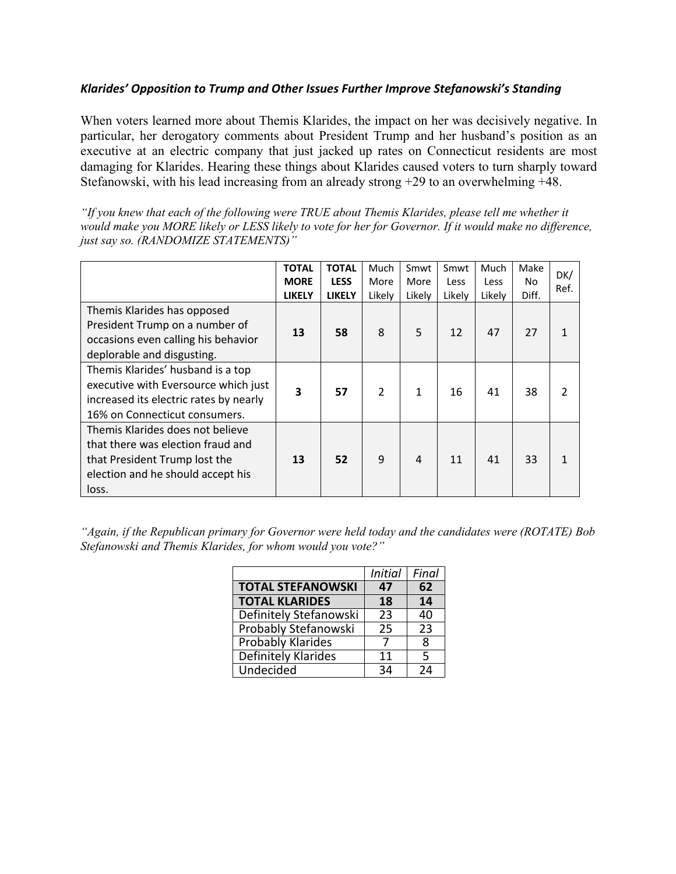### *Klarides' Opposition to Trump and Other Issues Further Improve Stefanowski's Standing*

When voters learned more about Themis Klarides, the impact on her was decisively negative. In particular, her derogatory comments about President Trump and her husband's position as an executive at an electric company that just jacked up rates on Connecticut residents are most damaging for Klarides. Hearing these things about Klarides caused voters to turn sharply toward Stefanowski, with his lead increasing from an already strong +29 to an overwhelming +48.

*"If you knew that each of the following were TRUE about Themis Klarides, please tell me whether it would make you MORE likely or LESS likely to vote for her for Governor. If it would make no difference, just say so. (RANDOMIZE STATEMENTS)"*

|                                                                                                                                                      | <b>TOTAL</b><br><b>MORE</b><br><b>LIKELY</b> | <b>TOTAL</b><br><b>LESS</b><br><b>LIKELY</b> | Much<br>More<br>Likelv | Smwt<br>More<br>Likelv | Smwt<br>Less<br>Likely | Much<br><b>Less</b><br>Likelv | Make<br>No.<br>Diff. | DK/<br>Ref. |
|------------------------------------------------------------------------------------------------------------------------------------------------------|----------------------------------------------|----------------------------------------------|------------------------|------------------------|------------------------|-------------------------------|----------------------|-------------|
| Themis Klarides has opposed<br>President Trump on a number of<br>occasions even calling his behavior<br>deplorable and disgusting.                   | 13                                           | 58                                           | 8                      | 5                      | 12                     | 47                            | 27                   |             |
| Themis Klarides' husband is a top<br>executive with Eversource which just<br>increased its electric rates by nearly<br>16% on Connecticut consumers. | 3                                            | 57                                           | $\overline{2}$         | $\mathbf{1}$           | 16                     | 41                            | 38                   |             |
| Themis Klarides does not believe<br>that there was election fraud and<br>that President Trump lost the<br>election and he should accept his<br>loss. | 13                                           | 52                                           | 9                      | $\overline{4}$         | 11                     | 41                            | 33                   |             |

*"Again, if the Republican primary for Governor were held today and the candidates were (ROTATE) Bob Stefanowski and Themis Klarides, for whom would you vote?"*

|                          | <b>Initial</b> | Final |
|--------------------------|----------------|-------|
| <b>TOTAL STEFANOWSKI</b> | 47             | 62    |
| <b>TOTAL KLARIDES</b>    | 18             | 14    |
| Definitely Stefanowski   | 23             | 40    |
| Probably Stefanowski     | 25             | 23    |
| <b>Probably Klarides</b> | 7              | 8     |
| Definitely Klarides      | 11             | 5     |
| Undecided                | 34             | 24    |